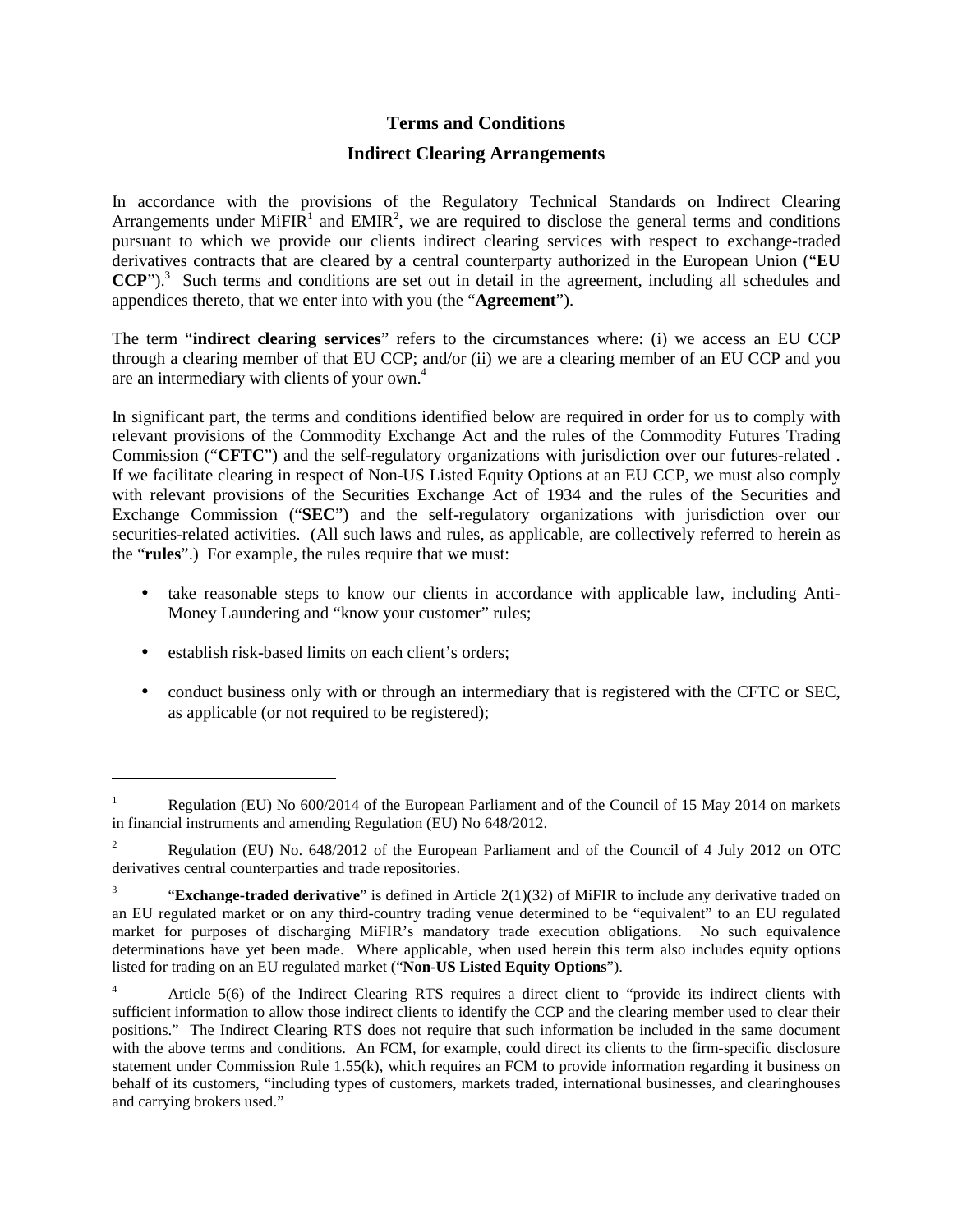## **Terms and Conditions**

## **Indirect Clearing Arrangements**

 In accordance with the provisions of the Regulatory Technical Standards on Indirect Clearing Arrangements under MiFIR<sup>1</sup> and EMIR<sup>2</sup>, we are required to disclose the general terms and conditions pursuant to which we provide our clients indirect clearing services with respect to exchange-traded derivatives contracts that are cleared by a central counterparty authorized in the European Union ("**EU CCP**").<sup>3</sup> Such terms and conditions are set out in detail in the agreement, including all schedules and appendices thereto, that we enter into with you (the "**Agreement**").

 The term "**indirect clearing services**" refers to the circumstances where: (i) we access an EU CCP through a clearing member of that EU CCP; and/or (ii) we are a clearing member of an EU CCP and you are an intermediary with clients of your own.<sup>4</sup>

 In significant part, the terms and conditions identified below are required in order for us to comply with relevant provisions of the Commodity Exchange Act and the rules of the Commodity Futures Trading Commission ("**CFTC**") and the self-regulatory organizations with jurisdiction over our futures-related . If we facilitate clearing in respect of Non-US Listed Equity Options at an EU CCP, we must also comply with relevant provisions of the Securities Exchange Act of 1934 and the rules of the Securities and Exchange Commission ("**SEC**") and the self-regulatory organizations with jurisdiction over our securities-related activities. (All such laws and rules, as applicable, are collectively referred to herein as the "**rules**".) For example, the rules require that we must:

- • take reasonable steps to know our clients in accordance with applicable law, including Anti-Money Laundering and "know your customer" rules;
- establish risk-based limits on each client's orders;

 $\overline{a}$ 

 • conduct business only with or through an intermediary that is registered with the CFTC or SEC, as applicable (or not required to be registered);

 in financial instruments and amending Regulation (EU) No 648/2012. Regulation (EU) No 600/2014 of the European Parliament and of the Council of 15 May 2014 on markets

 derivatives central counterparties and trade repositories. 2 Regulation (EU) No. 648/2012 of the European Parliament and of the Council of 4 July 2012 on OTC

 $\overline{3}$  an EU regulated market or on any third-country trading venue determined to be "equivalent" to an EU regulated market for purposes of discharging MiFIR's mandatory trade execution obligations. No such equivalence determinations have yet been made. Where applicable, when used herein this term also includes equity options listed for trading on an EU regulated market ("**Non-US Listed Equity Options**"). <sup>3</sup> "**Exchange-traded derivative**" is defined in Article 2(1)(32) of MiFIR to include any derivative traded on

 $\overline{4}$  sufficient information to allow those indirect clients to identify the CCP and the clearing member used to clear their positions." The Indirect Clearing RTS does not require that such information be included in the same document with the above terms and conditions. An FCM, for example, could direct its clients to the firm-specific disclosure statement under Commission Rule 1.55(k), which requires an FCM to provide information regarding it business on behalf of its customers, "including types of customers, markets traded, international businesses, and clearinghouses and carrying brokers used." Article 5(6) of the Indirect Clearing RTS requires a direct client to "provide its indirect clients with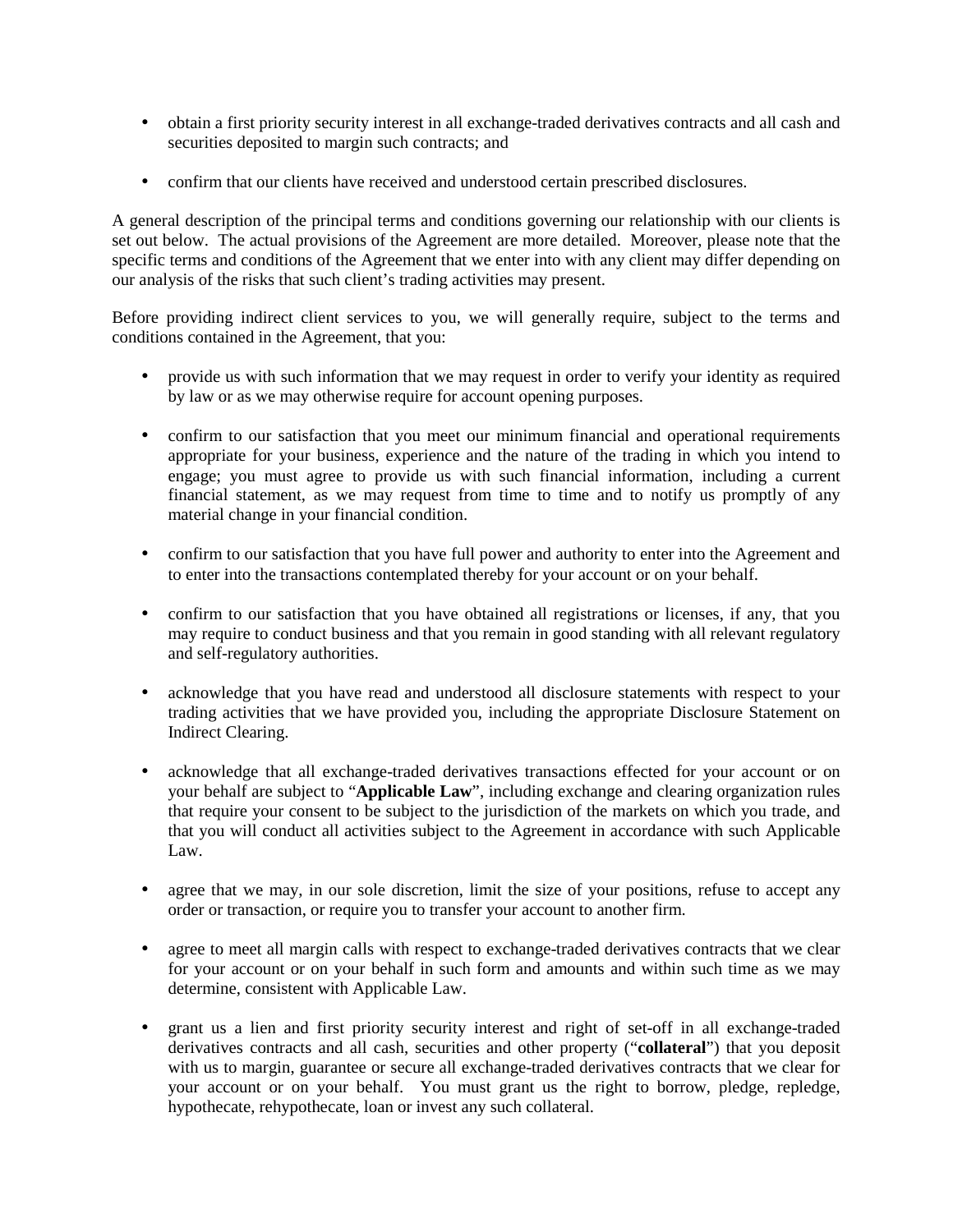- • obtain a first priority security interest in all exchange-traded derivatives contracts and all cash and securities deposited to margin such contracts; and
- confirm that our clients have received and understood certain prescribed disclosures.

 A general description of the principal terms and conditions governing our relationship with our clients is set out below. The actual provisions of the Agreement are more detailed. Moreover, please note that the specific terms and conditions of the Agreement that we enter into with any client may differ depending on our analysis of the risks that such client's trading activities may present.

 Before providing indirect client services to you, we will generally require, subject to the terms and conditions contained in the Agreement, that you:

- • provide us with such information that we may request in order to verify your identity as required by law or as we may otherwise require for account opening purposes.
- • confirm to our satisfaction that you meet our minimum financial and operational requirements appropriate for your business, experience and the nature of the trading in which you intend to engage; you must agree to provide us with such financial information, including a current financial statement, as we may request from time to time and to notify us promptly of any material change in your financial condition.
- • confirm to our satisfaction that you have full power and authority to enter into the Agreement and to enter into the transactions contemplated thereby for your account or on your behalf.
- • confirm to our satisfaction that you have obtained all registrations or licenses, if any, that you may require to conduct business and that you remain in good standing with all relevant regulatory and self-regulatory authorities.
- • acknowledge that you have read and understood all disclosure statements with respect to your trading activities that we have provided you, including the appropriate Disclosure Statement on Indirect Clearing.
- • acknowledge that all exchange-traded derivatives transactions effected for your account or on your behalf are subject to "**Applicable Law**", including exchange and clearing organization rules that require your consent to be subject to the jurisdiction of the markets on which you trade, and that you will conduct all activities subject to the Agreement in accordance with such Applicable Law.
- • agree that we may, in our sole discretion, limit the size of your positions, refuse to accept any order or transaction, or require you to transfer your account to another firm.
- • agree to meet all margin calls with respect to exchange-traded derivatives contracts that we clear for your account or on your behalf in such form and amounts and within such time as we may determine, consistent with Applicable Law.
- • grant us a lien and first priority security interest and right of set-off in all exchange-traded derivatives contracts and all cash, securities and other property ("**collateral**") that you deposit with us to margin, guarantee or secure all exchange-traded derivatives contracts that we clear for your account or on your behalf. You must grant us the right to borrow, pledge, repledge, hypothecate, rehypothecate, loan or invest any such collateral.